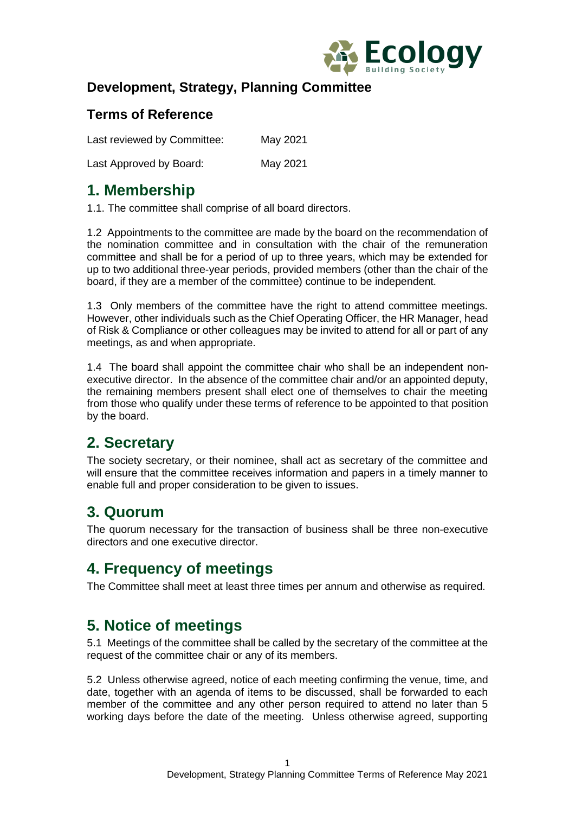

#### **Development, Strategy, Planning Committee**

#### **Terms of Reference**

Last reviewed by Committee: May 2021

Last Approved by Board: May 2021

### **1. Membership**

1.1. The committee shall comprise of all board directors.

1.2 Appointments to the committee are made by the board on the recommendation of the nomination committee and in consultation with the chair of the remuneration committee and shall be for a period of up to three years, which may be extended for up to two additional three-year periods, provided members (other than the chair of the board, if they are a member of the committee) continue to be independent.

1.3 Only members of the committee have the right to attend committee meetings. However, other individuals such as the Chief Operating Officer, the HR Manager, head of Risk & Compliance or other colleagues may be invited to attend for all or part of any meetings, as and when appropriate.

1.4 The board shall appoint the committee chair who shall be an independent nonexecutive director. In the absence of the committee chair and/or an appointed deputy, the remaining members present shall elect one of themselves to chair the meeting from those who qualify under these terms of reference to be appointed to that position by the board.

# **2. Secretary**

The society secretary, or their nominee, shall act as secretary of the committee and will ensure that the committee receives information and papers in a timely manner to enable full and proper consideration to be given to issues.

# **3. Quorum**

The quorum necessary for the transaction of business shall be three non-executive directors and one executive director.

### **4. Frequency of meetings**

The Committee shall meet at least three times per annum and otherwise as required.

### **5. Notice of meetings**

5.1 Meetings of the committee shall be called by the secretary of the committee at the request of the committee chair or any of its members.

5.2 Unless otherwise agreed, notice of each meeting confirming the venue, time, and date, together with an agenda of items to be discussed, shall be forwarded to each member of the committee and any other person required to attend no later than 5 working days before the date of the meeting. Unless otherwise agreed, supporting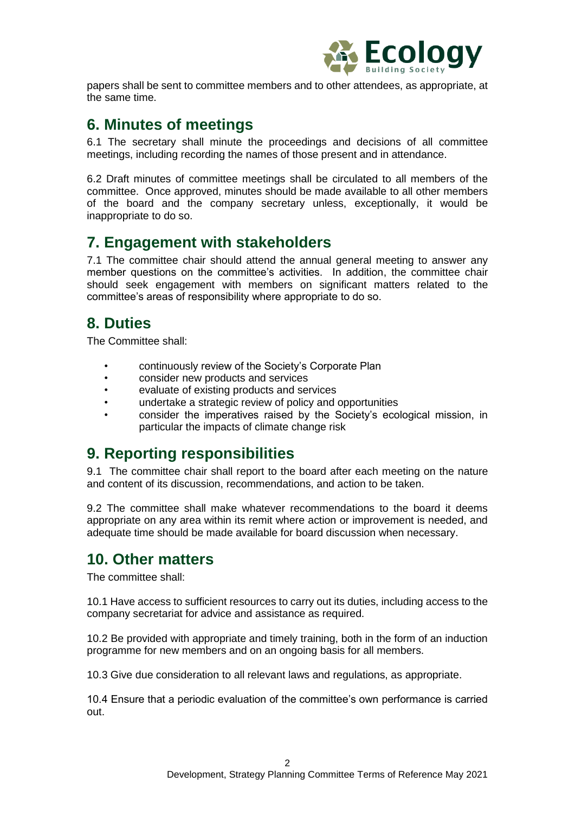

papers shall be sent to committee members and to other attendees, as appropriate, at the same time.

#### **6. Minutes of meetings**

6.1 The secretary shall minute the proceedings and decisions of all committee meetings, including recording the names of those present and in attendance.

6.2 Draft minutes of committee meetings shall be circulated to all members of the committee. Once approved, minutes should be made available to all other members of the board and the company secretary unless, exceptionally, it would be inappropriate to do so.

#### **7. Engagement with stakeholders**

7.1 The committee chair should attend the annual general meeting to answer any member questions on the committee's activities. In addition, the committee chair should seek engagement with members on significant matters related to the committee's areas of responsibility where appropriate to do so.

### **8. Duties**

The Committee shall:

- continuously review of the Society's Corporate Plan
- consider new products and services
- evaluate of existing products and services
- undertake a strategic review of policy and opportunities
- consider the imperatives raised by the Society's ecological mission, in particular the impacts of climate change risk

### **9. Reporting responsibilities**

9.1 The committee chair shall report to the board after each meeting on the nature and content of its discussion, recommendations, and action to be taken.

9.2 The committee shall make whatever recommendations to the board it deems appropriate on any area within its remit where action or improvement is needed, and adequate time should be made available for board discussion when necessary.

#### **10. Other matters**

The committee shall:

10.1 Have access to sufficient resources to carry out its duties, including access to the company secretariat for advice and assistance as required.

10.2 Be provided with appropriate and timely training, both in the form of an induction programme for new members and on an ongoing basis for all members.

10.3 Give due consideration to all relevant laws and regulations, as appropriate.

10.4 Ensure that a periodic evaluation of the committee's own performance is carried out.